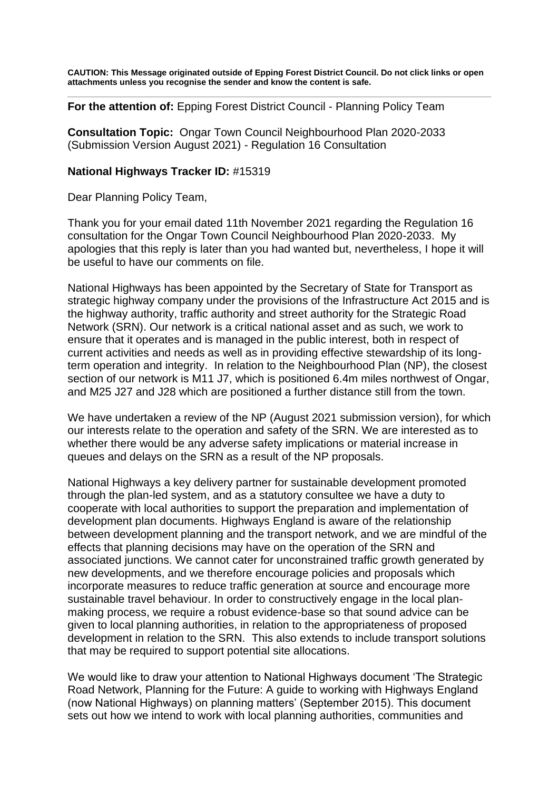**CAUTION: This Message originated outside of Epping Forest District Council. Do not click links or open attachments unless you recognise the sender and know the content is safe.** 

**For the attention of:** Epping Forest District Council - Planning Policy Team

**Consultation Topic:** Ongar Town Council Neighbourhood Plan 2020-2033 (Submission Version August 2021) - Regulation 16 Consultation

#### **National Highways Tracker ID:** #15319

Dear Planning Policy Team,

 apologies that this reply is later than you had wanted but, nevertheless, I hope it will be useful to have our comments on file. Thank you for your email dated 11th November 2021 regarding the Regulation 16 consultation for the Ongar Town Council Neighbourhood Plan 2020-2033. My

 term operation and integrity. In relation to the Neighbourhood Plan (NP), the closest and M25 J27 and J28 which are positioned a further distance still from the town. National Highways has been appointed by the Secretary of State for Transport as strategic highway company under the provisions of the Infrastructure Act 2015 and is the highway authority, traffic authority and street authority for the Strategic Road Network (SRN). Our network is a critical national asset and as such, we work to ensure that it operates and is managed in the public interest, both in respect of current activities and needs as well as in providing effective stewardship of its longsection of our network is M11 J7, which is positioned 6.4m miles northwest of Ongar,

 our interests relate to the operation and safety of the SRN. We are interested as to queues and delays on the SRN as a result of the NP proposals. We have undertaken a review of the NP (August 2021 submission version), for which whether there would be any adverse safety implications or material increase in

 through the plan-led system, and as a statutory consultee we have a duty to incorporate measures to reduce traffic generation at source and encourage more National Highways a key delivery partner for sustainable development promoted cooperate with local authorities to support the preparation and implementation of development plan documents. Highways England is aware of the relationship between development planning and the transport network, and we are mindful of the effects that planning decisions may have on the operation of the SRN and associated junctions. We cannot cater for unconstrained traffic growth generated by new developments, and we therefore encourage policies and proposals which sustainable travel behaviour. In order to constructively engage in the local planmaking process, we require a robust evidence-base so that sound advice can be given to local planning authorities, in relation to the appropriateness of proposed development in relation to the SRN. This also extends to include transport solutions that may be required to support potential site allocations.

We would like to draw your attention to National Highways document 'The Strategic Road Network, Planning for the Future: A guide to working with Highways England (now National Highways) on planning matters' (September 2015). This document sets out how we intend to work with local planning authorities, communities and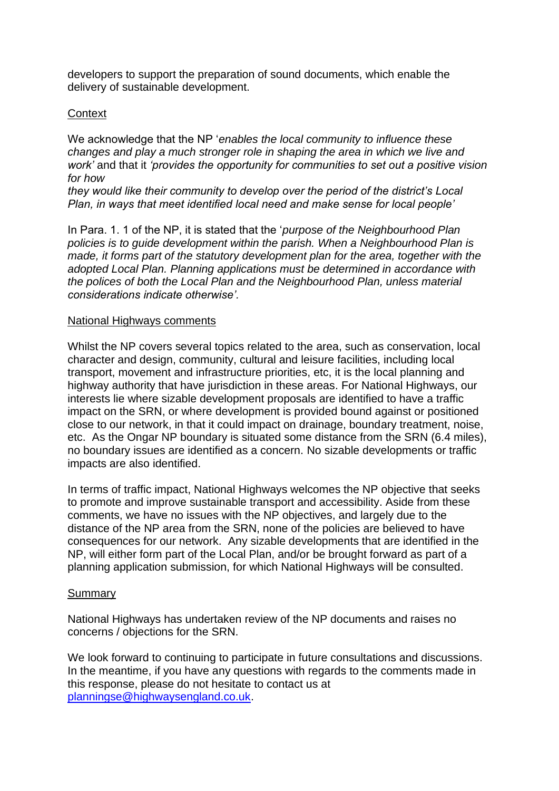developers to support the preparation of sound documents, which enable the delivery of sustainable development.

## **Context**

We acknowledge that the NP '*enables the local community to influence these changes and play a much stronger role in shaping the area in which we live and work'* and that it *'provides the opportunity for communities to set out a positive vision for how* 

*they would like their community to develop over the period of the district's Local Plan, in ways that meet identified local need and make sense for local people'*

made, it forms part of the statutory development plan for the area, together with the  *the polices of both the Local Plan and the Neighbourhood Plan, unless material*  In Para. 1. 1 of the NP, it is stated that the '*purpose of the Neighbourhood Plan policies is to guide development within the parish. When a Neighbourhood Plan is adopted Local Plan. Planning applications must be determined in accordance with considerations indicate otherwise'.*

### National Highways comments

 etc. As the Ongar NP boundary is situated some distance from the SRN (6.4 miles), Whilst the NP covers several topics related to the area, such as conservation, local character and design, community, cultural and leisure facilities, including local transport, movement and infrastructure priorities, etc, it is the local planning and highway authority that have jurisdiction in these areas. For National Highways, our interests lie where sizable development proposals are identified to have a traffic impact on the SRN, or where development is provided bound against or positioned close to our network, in that it could impact on drainage, boundary treatment, noise, no boundary issues are identified as a concern. No sizable developments or traffic impacts are also identified.

 comments, we have no issues with the NP objectives, and largely due to the In terms of traffic impact, National Highways welcomes the NP objective that seeks to promote and improve sustainable transport and accessibility. Aside from these distance of the NP area from the SRN, none of the policies are believed to have consequences for our network. Any sizable developments that are identified in the NP, will either form part of the Local Plan, and/or be brought forward as part of a planning application submission, for which National Highways will be consulted.

## Summary

 National Highways has undertaken review of the NP documents and raises no concerns / objections for the SRN.

We look forward to continuing to participate in future consultations and discussions. In the meantime, if you have any questions with regards to the comments made in this response, please do not hesitate to contact us at [planningse@highwaysengland.co.uk](mailto:planningse@highwaysengland.co.uk).